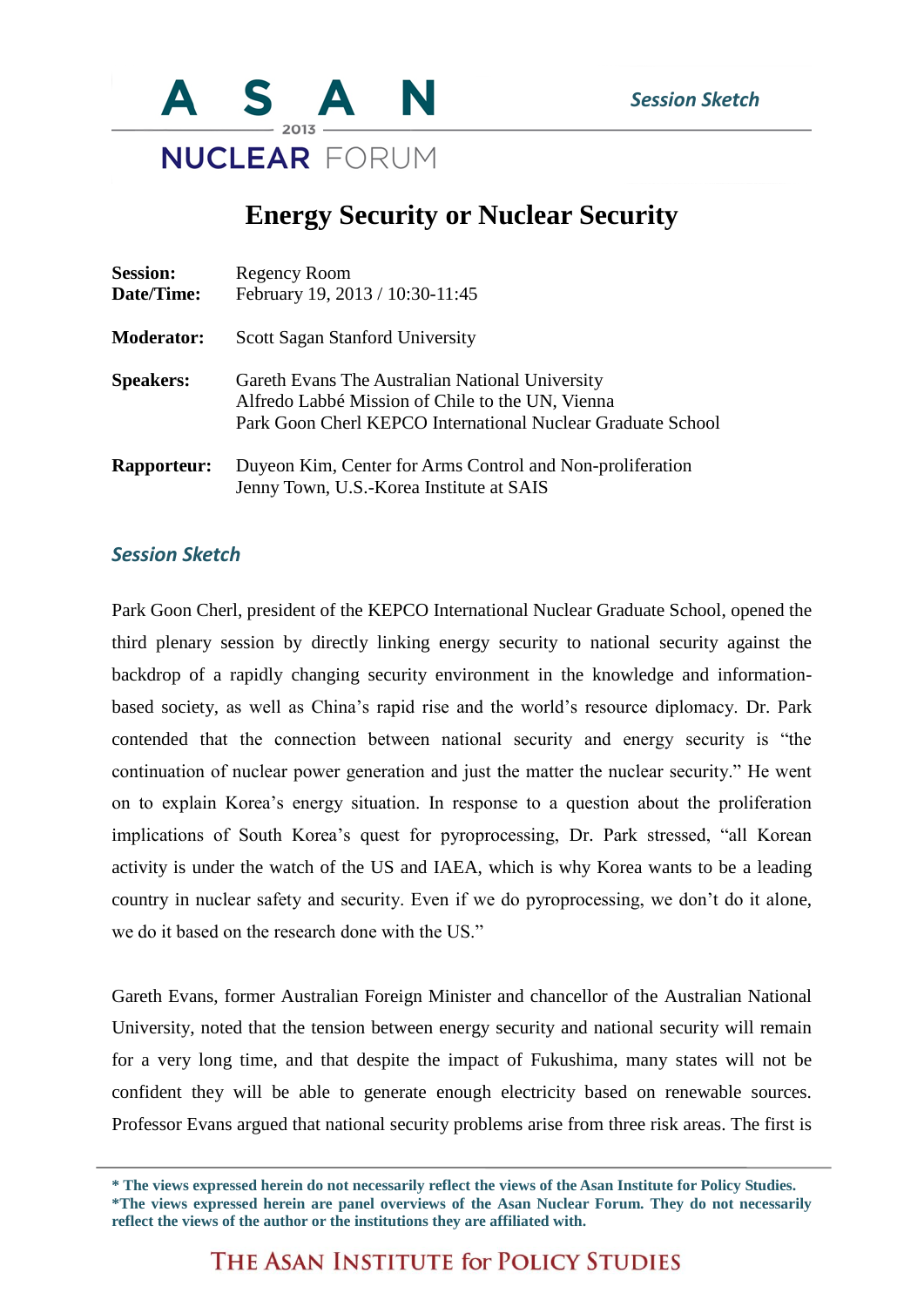

## **Energy Security or Nuclear Security**

| <b>Session:</b><br>Date/Time: | Regency Room<br>February 19, 2013 / 10:30-11:45                                                                                                                    |
|-------------------------------|--------------------------------------------------------------------------------------------------------------------------------------------------------------------|
| <b>Moderator:</b>             | <b>Scott Sagan Stanford University</b>                                                                                                                             |
| <b>Speakers:</b>              | Gareth Evans The Australian National University<br>Alfredo Labbé Mission of Chile to the UN, Vienna<br>Park Goon Cherl KEPCO International Nuclear Graduate School |
| <b>Rapporteur:</b>            | Duyeon Kim, Center for Arms Control and Non-proliferation<br>Jenny Town, U.S.-Korea Institute at SAIS                                                              |

## *Session Sketch*

Park Goon Cherl, president of the KEPCO International Nuclear Graduate School, opened the third plenary session by directly linking energy security to national security against the backdrop of a rapidly changing security environment in the knowledge and informationbased society, as well as China's rapid rise and the world's resource diplomacy. Dr. Park contended that the connection between national security and energy security is "the continuation of nuclear power generation and just the matter the nuclear security." He went on to explain Korea's energy situation. In response to a question about the proliferation implications of South Korea's quest for pyroprocessing, Dr. Park stressed, "all Korean activity is under the watch of the US and IAEA, which is why Korea wants to be a leading country in nuclear safety and security. Even if we do pyroprocessing, we don't do it alone, we do it based on the research done with the US."

Gareth Evans, former Australian Foreign Minister and chancellor of the Australian National University, noted that the tension between energy security and national security will remain for a very long time, and that despite the impact of Fukushima, many states will not be confident they will be able to generate enough electricity based on renewable sources. Professor Evans argued that national security problems arise from three risk areas. The first is

THE ASAN INSTITUTE for POLICY STUDIES

**<sup>\*</sup> The views expressed herein do not necessarily reflect the views of the Asan Institute for Policy Studies. \*The views expressed herein are panel overviews of the Asan Nuclear Forum. They do not necessarily reflect the views of the author or the institutions they are affiliated with.**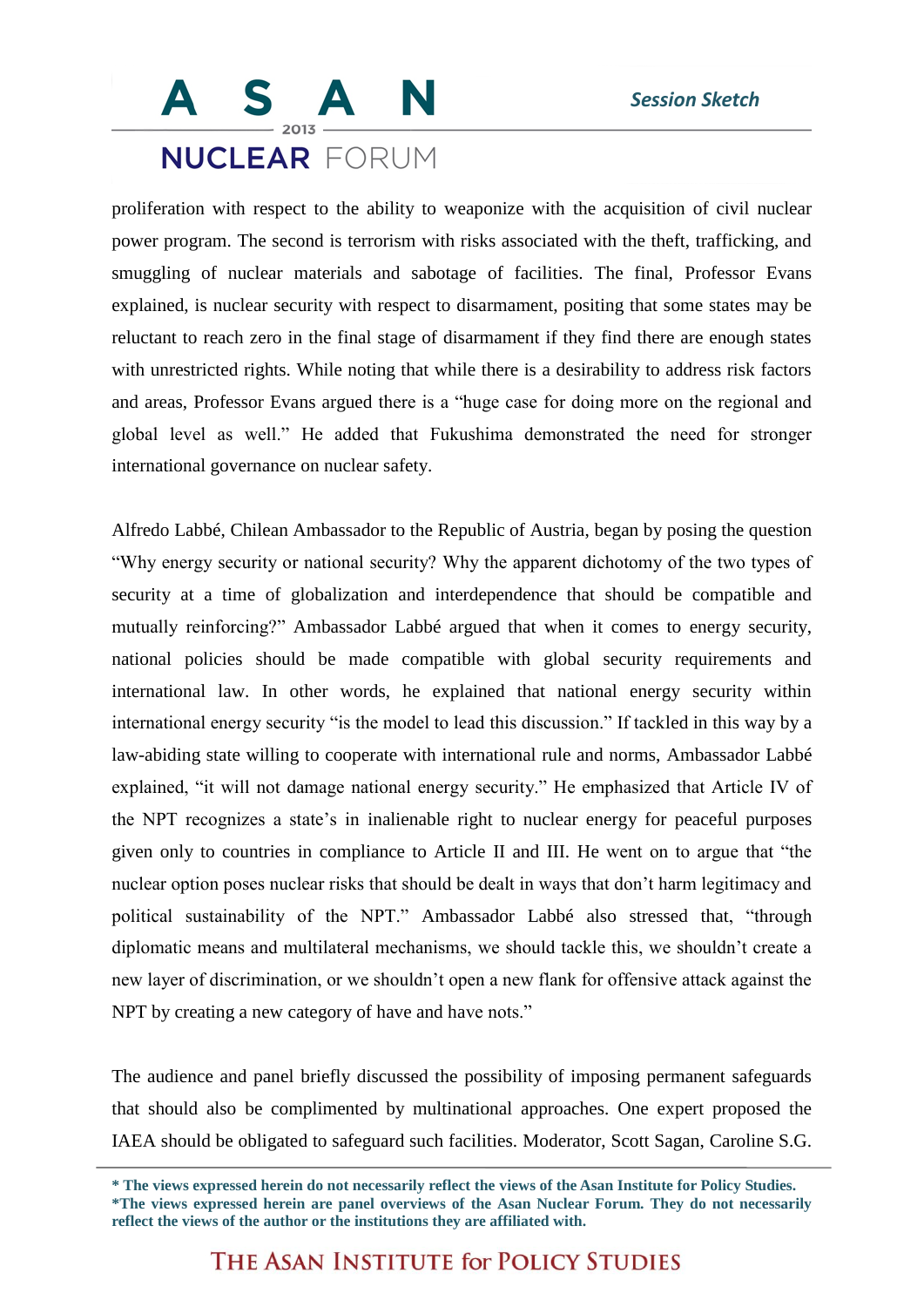## **NUCLEAR FORUM**

proliferation with respect to the ability to weaponize with the acquisition of civil nuclear power program. The second is terrorism with risks associated with the theft, trafficking, and smuggling of nuclear materials and sabotage of facilities. The final, Professor Evans explained, is nuclear security with respect to disarmament, positing that some states may be reluctant to reach zero in the final stage of disarmament if they find there are enough states with unrestricted rights. While noting that while there is a desirability to address risk factors and areas, Professor Evans argued there is a "huge case for doing more on the regional and global level as well." He added that Fukushima demonstrated the need for stronger international governance on nuclear safety.

Alfredo Labbé, Chilean Ambassador to the Republic of Austria, began by posing the question "Why energy security or national security? Why the apparent dichotomy of the two types of security at a time of globalization and interdependence that should be compatible and mutually reinforcing?" Ambassador Labbé argued that when it comes to energy security, national policies should be made compatible with global security requirements and international law. In other words, he explained that national energy security within international energy security "is the model to lead this discussion." If tackled in this way by a law-abiding state willing to cooperate with international rule and norms, Ambassador Labbé explained, "it will not damage national energy security." He emphasized that Article IV of the NPT recognizes a state's in inalienable right to nuclear energy for peaceful purposes given only to countries in compliance to Article II and III. He went on to argue that "the nuclear option poses nuclear risks that should be dealt in ways that don't harm legitimacy and political sustainability of the NPT." Ambassador Labbé also stressed that, "through diplomatic means and multilateral mechanisms, we should tackle this, we shouldn't create a new layer of discrimination, or we shouldn't open a new flank for offensive attack against the NPT by creating a new category of have and have nots."

The audience and panel briefly discussed the possibility of imposing permanent safeguards that should also be complimented by multinational approaches. One expert proposed the IAEA should be obligated to safeguard such facilities. Moderator, Scott Sagan, Caroline S.G.

THE ASAN INSTITUTE for POLICY STUDIES

**<sup>\*</sup> The views expressed herein do not necessarily reflect the views of the Asan Institute for Policy Studies. \*The views expressed herein are panel overviews of the Asan Nuclear Forum. They do not necessarily reflect the views of the author or the institutions they are affiliated with.**